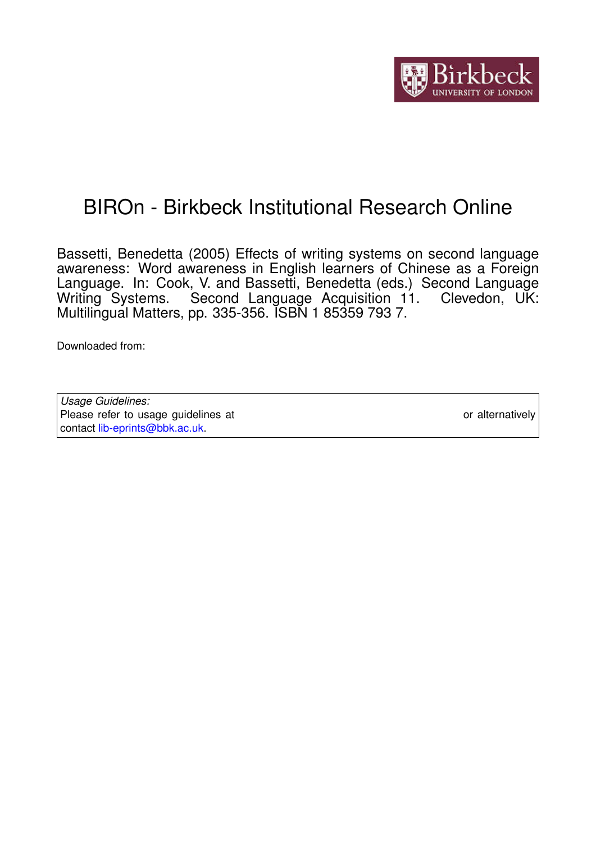

# BIROn - Birkbeck Institutional Research Online

Bassetti, Benedetta (2005) Effects of writing systems on second language awareness: Word awareness in English learners of Chinese as a Foreign Language. In: Cook, V. and Bassetti, Benedetta (eds.) Second Language Writing Systems. Second Language Acquisition 11. Clevedon, UK: Multilingual Matters, pp. 335-356. ISBN 1 85359 793 7.

Downloaded from: <https://eprints.bbk.ac.uk/id/eprint/530/>

*Usage Guidelines:* Please refer to usage guidelines at <https://eprints.bbk.ac.uk/policies.html> or alternatively contact [lib-eprints@bbk.ac.uk.](mailto:lib-eprints@bbk.ac.uk)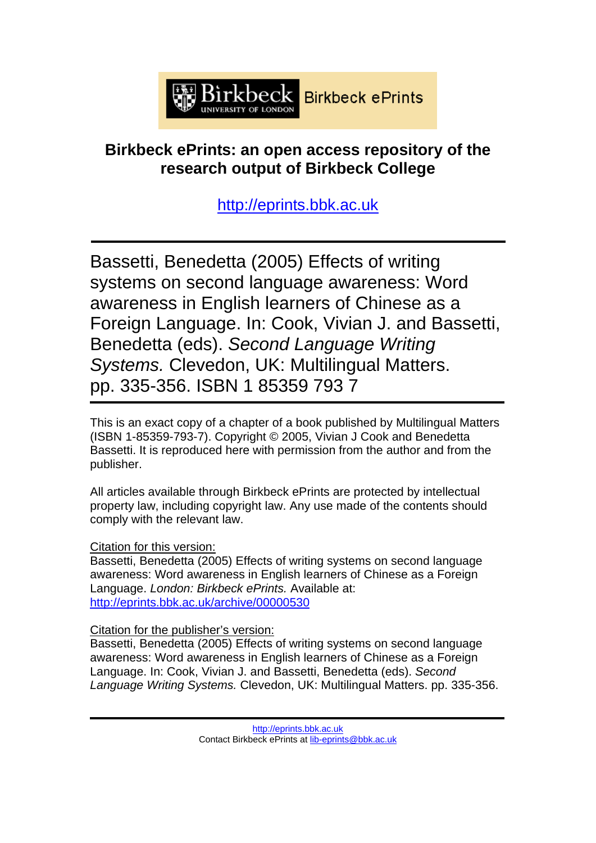

## **Birkbeck ePrints: an open access repository of the research output of Birkbeck College**

http://eprints.bbk.ac.uk

Bassetti, Benedetta (2005) Effects of writing systems on second language awareness: Word awareness in English learners of Chinese as a Foreign Language. In: Cook, Vivian J. and Bassetti, Benedetta (eds). *Second Language Writing Systems.* Clevedon, UK: Multilingual Matters. pp. 335-356. ISBN 1 85359 793 7

This is an exact copy of a chapter of a book published by Multilingual Matters (ISBN 1-85359-793-7). Copyright © 2005, Vivian J Cook and Benedetta Bassetti. It is reproduced here with permission from the author and from the publisher.

All articles available through Birkbeck ePrints are protected by intellectual property law, including copyright law. Any use made of the contents should comply with the relevant law.

Citation for this version:

Bassetti, Benedetta (2005) Effects of writing systems on second language awareness: Word awareness in English learners of Chinese as a Foreign Language. *London: Birkbeck ePrints.* Available at: http://eprints.bbk.ac.uk/archive/00000530

## Citation for the publisher's version:

Bassetti, Benedetta (2005) Effects of writing systems on second language awareness: Word awareness in English learners of Chinese as a Foreign Language. In: Cook, Vivian J. and Bassetti, Benedetta (eds). *Second Language Writing Systems.* Clevedon, UK: Multilingual Matters. pp. 335-356.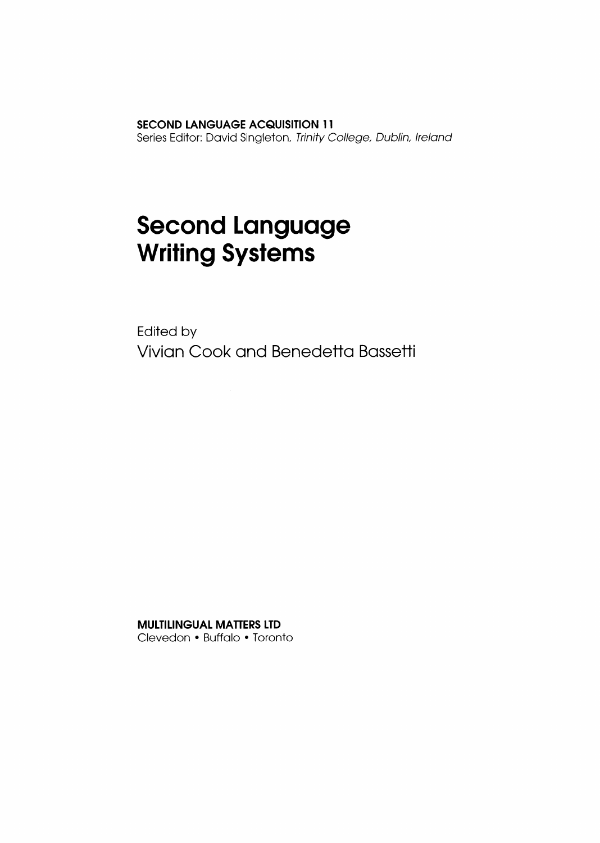**SECOND LANGUAGE ACQUISITION 11** Series Editor: David Singleton, Trinity College, Dublin, Ireland

# **Second Language Writing Systems**

Edited by Vivian Cook and Benedetta Bassetti

**MULTILINGUAL MATTERS LTD** Clevedon • Buffalo • Toronto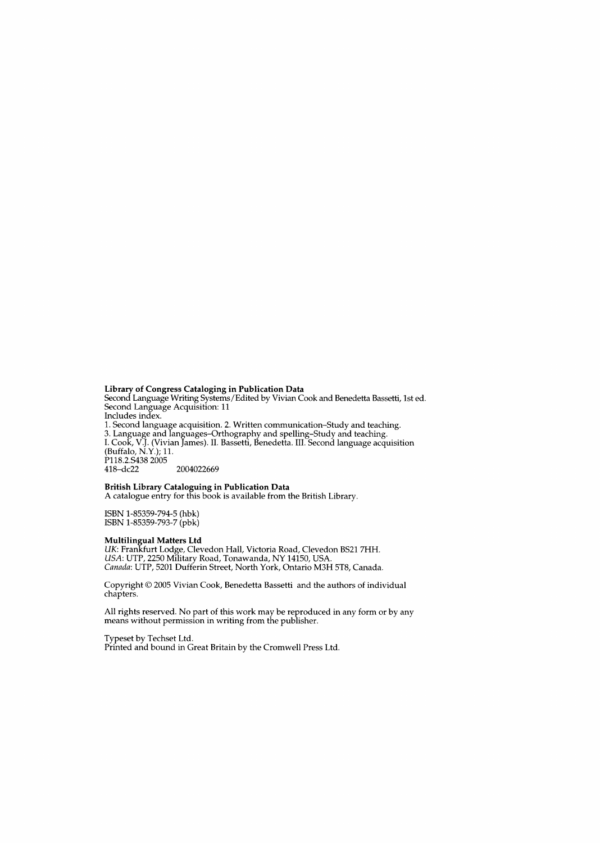### Library of Congress Cataloging in Publication Data<br>Second Language Writing Systems/Edited by Vivian Cook and Benedetta Bassetti, 1st ed.<br>Second Language Acquisition: 11 Includes index. 1. Second language acquisition. 2. Written communication-Study and teaching. 3. Language and languages-Orthography and spelling-Study and teaching.<br>3. Language and languages-Orthography and spelling-Study and teaching.<br>I. Cook, V.J. (Vivian James). II. Bassetti, Benedetta. III. Second language acqu (Buffalo, N.Y.); 11.<br>P118.2.5438 2005 418-dc22 2004022669

**British Library Cataloguing in Publication Data**<br>A catalogue entry for this book is available from the British Library.

ISBN 1-85359-794-5 (hbk)<br>ISBN 1-85359-793-7 (pbk)

#### **Multilingual Matters Ltd**

UK: Frankfurt Lodge, Clevedon Hall, Victoria Road, Clevedon BS21 7HH.<br>USA: UTP, 2250 Military Road, Tonawanda, NY 14150, USA. Canada: UTP, 5201 Dufferin Street, North York, Ontario M3H 5T8, Canada.

Copyright © 2005 Vivian Cook, Benedetta Bassetti and the authors of individual chapters.

All rights reserved. No part of this work may be reproduced in any form or by any means without permission in writing from the publisher.

Typeset by Techset Ltd.<br>Printed and bound in Great Britain by the Cromwell Press Ltd.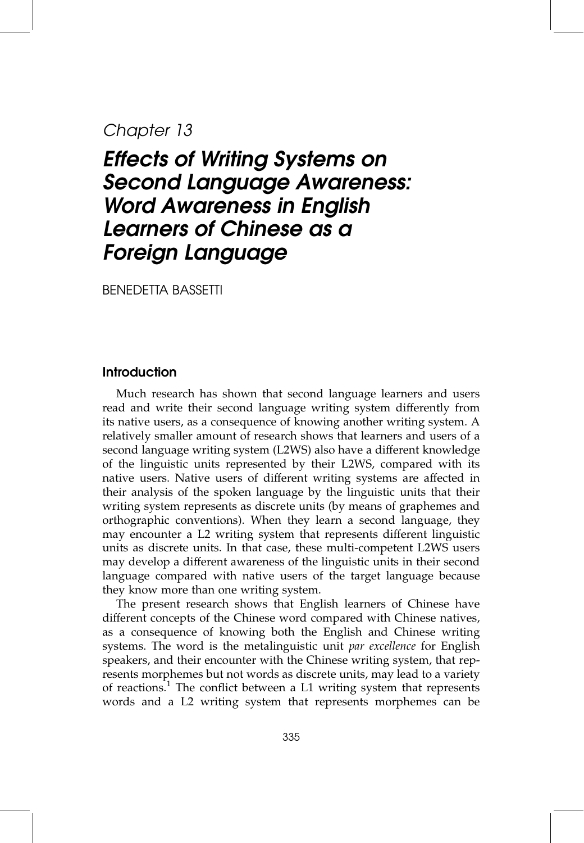Chapter 13

## Effects of Writing Systems on Second Language Awareness: Word Awareness in English Learners of Chinese as a Foreign Language

BENEDETTA BASSETTI

#### **Introduction**

Much research has shown that second language learners and users read and write their second language writing system differently from its native users, as a consequence of knowing another writing system. A relatively smaller amount of research shows that learners and users of a second language writing system (L2WS) also have a different knowledge of the linguistic units represented by their L2WS, compared with its native users. Native users of different writing systems are affected in their analysis of the spoken language by the linguistic units that their writing system represents as discrete units (by means of graphemes and orthographic conventions). When they learn a second language, they may encounter a L2 writing system that represents different linguistic units as discrete units. In that case, these multi-competent L2WS users may develop a different awareness of the linguistic units in their second language compared with native users of the target language because they know more than one writing system.

The present research shows that English learners of Chinese have different concepts of the Chinese word compared with Chinese natives, as a consequence of knowing both the English and Chinese writing systems. The word is the metalinguistic unit *par excellence* for English speakers, and their encounter with the Chinese writing system, that represents morphemes but not words as discrete units, may lead to a variety of reactions.<sup>1</sup> The conflict between a L1 writing system that represents words and a L2 writing system that represents morphemes can be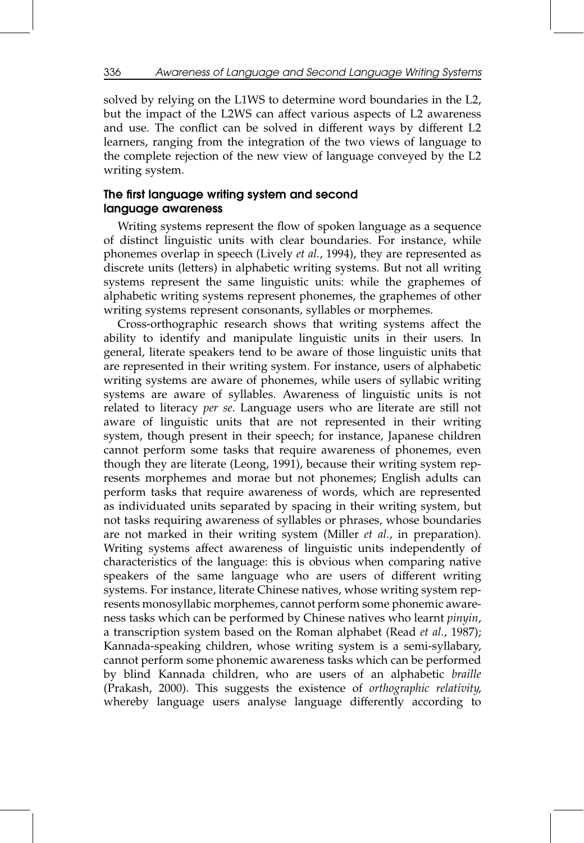solved by relying on the L1WS to determine word boundaries in the L2, but the impact of the L2WS can affect various aspects of L2 awareness and use. The conflict can be solved in different ways by different L2 learners, ranging from the integration of the two views of language to the complete rejection of the new view of language conveyed by the L2 writing system.

#### The first language writing system and second language awareness

Writing systems represent the flow of spoken language as a sequence of distinct linguistic units with clear boundaries. For instance, while phonemes overlap in speech (Lively et al., 1994), they are represented as discrete units (letters) in alphabetic writing systems. But not all writing systems represent the same linguistic units: while the graphemes of alphabetic writing systems represent phonemes, the graphemes of other writing systems represent consonants, syllables or morphemes.

Cross-orthographic research shows that writing systems affect the ability to identify and manipulate linguistic units in their users. In general, literate speakers tend to be aware of those linguistic units that are represented in their writing system. For instance, users of alphabetic writing systems are aware of phonemes, while users of syllabic writing systems are aware of syllables. Awareness of linguistic units is not related to literacy per se. Language users who are literate are still not aware of linguistic units that are not represented in their writing system, though present in their speech; for instance, Japanese children cannot perform some tasks that require awareness of phonemes, even though they are literate (Leong, 1991), because their writing system represents morphemes and morae but not phonemes; English adults can perform tasks that require awareness of words, which are represented as individuated units separated by spacing in their writing system, but not tasks requiring awareness of syllables or phrases, whose boundaries are not marked in their writing system (Miller et al., in preparation). Writing systems affect awareness of linguistic units independently of characteristics of the language: this is obvious when comparing native speakers of the same language who are users of different writing systems. For instance, literate Chinese natives, whose writing system represents monosyllabic morphemes, cannot perform some phonemic awareness tasks which can be performed by Chinese natives who learnt *pinyin*, a transcription system based on the Roman alphabet (Read et al., 1987); Kannada-speaking children, whose writing system is a semi-syllabary, cannot perform some phonemic awareness tasks which can be performed by blind Kannada children, who are users of an alphabetic braille (Prakash, 2000). This suggests the existence of orthographic relativity, whereby language users analyse language differently according to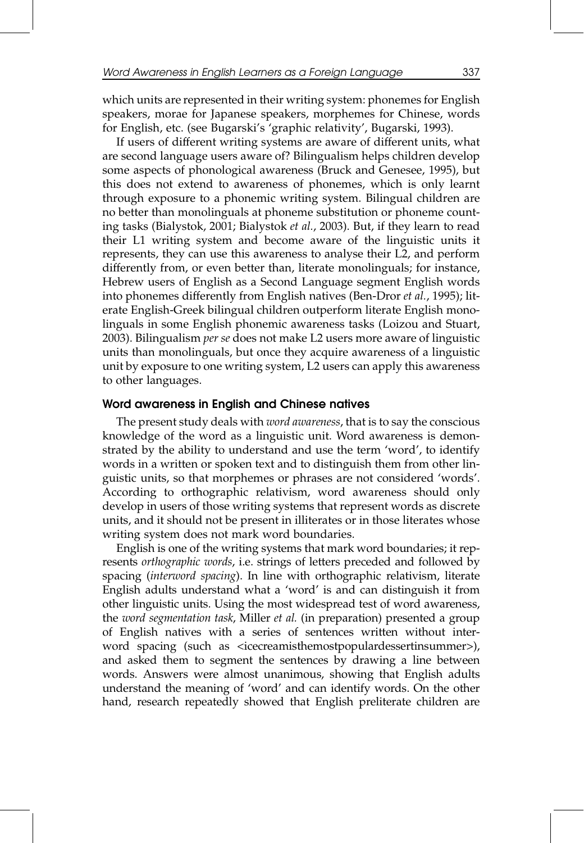which units are represented in their writing system: phonemes for English speakers, morae for Japanese speakers, morphemes for Chinese, words for English, etc. (see Bugarski's 'graphic relativity', Bugarski, 1993).

If users of different writing systems are aware of different units, what are second language users aware of? Bilingualism helps children develop some aspects of phonological awareness (Bruck and Genesee, 1995), but this does not extend to awareness of phonemes, which is only learnt through exposure to a phonemic writing system. Bilingual children are no better than monolinguals at phoneme substitution or phoneme counting tasks (Bialystok, 2001; Bialystok et al., 2003). But, if they learn to read their L1 writing system and become aware of the linguistic units it represents, they can use this awareness to analyse their L2, and perform differently from, or even better than, literate monolinguals; for instance, Hebrew users of English as a Second Language segment English words into phonemes differently from English natives (Ben-Dror et al., 1995); literate English-Greek bilingual children outperform literate English monolinguals in some English phonemic awareness tasks (Loizou and Stuart, 2003). Bilingualism per se does not make L2 users more aware of linguistic units than monolinguals, but once they acquire awareness of a linguistic unit by exposure to one writing system, L2 users can apply this awareness to other languages.

#### Word awareness in English and Chinese natives

The present study deals with *word awareness*, that is to say the conscious knowledge of the word as a linguistic unit. Word awareness is demonstrated by the ability to understand and use the term 'word', to identify words in a written or spoken text and to distinguish them from other linguistic units, so that morphemes or phrases are not considered 'words'. According to orthographic relativism, word awareness should only develop in users of those writing systems that represent words as discrete units, and it should not be present in illiterates or in those literates whose writing system does not mark word boundaries.

English is one of the writing systems that mark word boundaries; it represents orthographic words, i.e. strings of letters preceded and followed by spacing (interword spacing). In line with orthographic relativism, literate English adults understand what a 'word' is and can distinguish it from other linguistic units. Using the most widespread test of word awareness, the word segmentation task, Miller et al. (in preparation) presented a group of English natives with a series of sentences written without interword spacing (such as <icecreamisthemostpopulardessertinsummer>), and asked them to segment the sentences by drawing a line between words. Answers were almost unanimous, showing that English adults understand the meaning of 'word' and can identify words. On the other hand, research repeatedly showed that English preliterate children are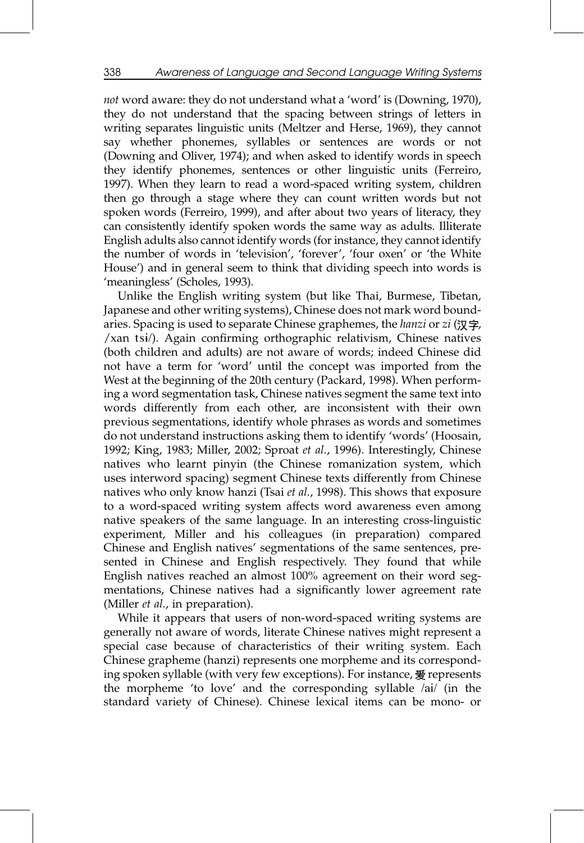not word aware: they do not understand what a 'word' is (Downing, 1970), they do not understand that the spacing between strings of letters in writing separates linguistic units (Meltzer and Herse, 1969), they cannot say whether phonemes, syllables or sentences are words or not (Downing and Oliver, 1974); and when asked to identify words in speech they identify phonemes, sentences or other linguistic units (Ferreiro, 1997). When they learn to read a word-spaced writing system, children then go through a stage where they can count written words but not spoken words (Ferreiro, 1999), and after about two years of literacy, they can consistently identify spoken words the same way as adults. Illiterate English adults also cannot identify words (for instance, they cannot identify the number of words in 'television', 'forever', 'four oxen' or 'the White House') and in general seem to think that dividing speech into words is 'meaningless' (Scholes, 1993).

Unlike the English writing system (but like Thai, Burmese, Tibetan, Japanese and other writing systems), Chinese does not mark word boundaries. Spacing is used to separate Chinese graphemes, the *hanzi* or  $zi$  (汉字, /xan tsi/). Again confirming orthographic relativism, Chinese natives (both children and adults) are not aware of words; indeed Chinese did not have a term for 'word' until the concept was imported from the West at the beginning of the 20th century (Packard, 1998). When performing a word segmentation task, Chinese natives segment the same text into words differently from each other, are inconsistent with their own previous segmentations, identify whole phrases as words and sometimes do not understand instructions asking them to identify 'words' (Hoosain, 1992; King, 1983; Miller, 2002; Sproat et al., 1996). Interestingly, Chinese natives who learnt pinyin (the Chinese romanization system, which uses interword spacing) segment Chinese texts differently from Chinese natives who only know hanzi (Tsai et al., 1998). This shows that exposure to a word-spaced writing system affects word awareness even among native speakers of the same language. In an interesting cross-linguistic experiment, Miller and his colleagues (in preparation) compared Chinese and English natives' segmentations of the same sentences, presented in Chinese and English respectively. They found that while English natives reached an almost 100% agreement on their word segmentations, Chinese natives had a significantly lower agreement rate (Miller *et al.*, in preparation).

While it appears that users of non-word-spaced writing systems are generally not aware of words, literate Chinese natives might represent a special case because of characteristics of their writing system. Each Chinese grapheme (hanzi) represents one morpheme and its corresponding spoken syllable (with very few exceptions). For instance,  $\frac{1}{2}$  represents the morpheme 'to love' and the corresponding syllable /ai/ (in the standard variety of Chinese). Chinese lexical items can be mono- or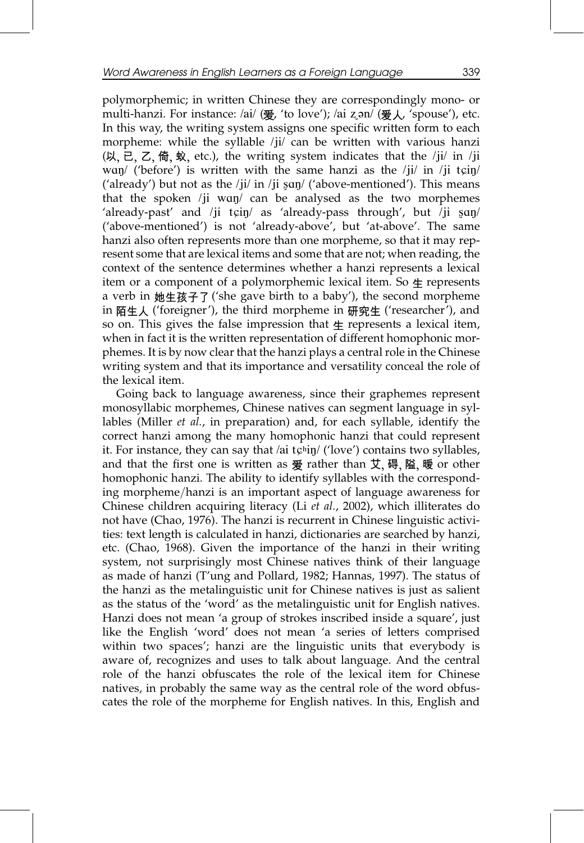polymorphemic; in written Chinese they are correspondingly mono- or multi-hanzi. For instance: /ai/ (爱, 'to love'); /ai z on/ (爱人, 'spouse'), etc. In this way, the writing system assigns one specific written form to each morpheme: while the syllable /ji/ can be written with various hanzi  $(X, E, Z, \mathbf{6}, \mathbf{4})$ , etc.), the writing system indicates that the /ji/ in /ji wan/ ('before') is written with the same hanzi as the /ji/ in /ji t $\sin/$ ('already') but not as the /ji/ in /ji san/ ('above-mentioned'). This means that the spoken /ji wan/ can be analysed as the two morphemes 'already-past' and /ji t $\sin/$  as 'already-pass through', but /ji  $\sin/$ ('above-mentioned') is not 'already-above', but 'at-above'. The same hanzi also often represents more than one morpheme, so that it may represent some that are lexical items and some that are not; when reading, the context of the sentence determines whether a hanzi represents a lexical item or a component of a polymorphemic lexical item. So  $\pm$  represents a verb in 她生孩子了 ('she gave birth to a baby'), the second morpheme in  $\overline{H} \oplus \overline{H}$  ('foreigner'), the third morpheme in 研究生 ('researcher'), and so on. This gives the false impression that  $\pm$  represents a lexical item, when in fact it is the written representation of different homophonic morphemes. It is by now clear that the hanzi plays a central role in the Chinese writing system and that its importance and versatility conceal the role of the lexical item.

Going back to language awareness, since their graphemes represent monosyllabic morphemes, Chinese natives can segment language in syllables (Miller et al., in preparation) and, for each syllable, identify the correct hanzi among the many homophonic hanzi that could represent it. For instance, they can say that /ai t $\mathcal{L}^{\text{high}}$  ('love') contains two syllables, and that the first one is written as  $\frac{1}{2}$  rather than  $\frac{1}{2}$ , 碍, 隘, 暧 or other homophonic hanzi. The ability to identify syllables with the corresponding morpheme/hanzi is an important aspect of language awareness for Chinese children acquiring literacy (Li et al., 2002), which illiterates do not have (Chao, 1976). The hanzi is recurrent in Chinese linguistic activities: text length is calculated in hanzi, dictionaries are searched by hanzi, etc. (Chao, 1968). Given the importance of the hanzi in their writing system, not surprisingly most Chinese natives think of their language as made of hanzi (T'ung and Pollard, 1982; Hannas, 1997). The status of the hanzi as the metalinguistic unit for Chinese natives is just as salient as the status of the 'word' as the metalinguistic unit for English natives. Hanzi does not mean 'a group of strokes inscribed inside a square', just like the English 'word' does not mean 'a series of letters comprised within two spaces'; hanzi are the linguistic units that everybody is aware of, recognizes and uses to talk about language. And the central role of the hanzi obfuscates the role of the lexical item for Chinese natives, in probably the same way as the central role of the word obfuscates the role of the morpheme for English natives. In this, English and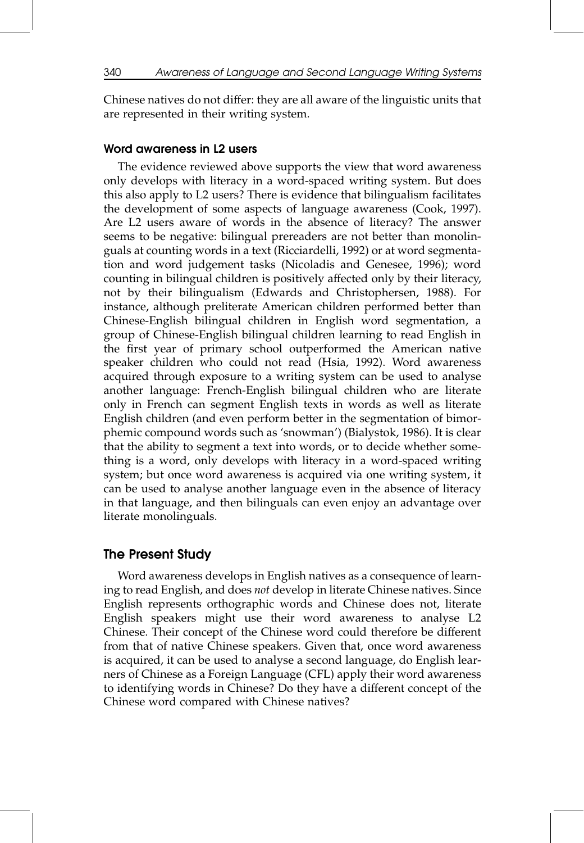Chinese natives do not differ: they are all aware of the linguistic units that are represented in their writing system.

#### Word awareness in L2 users

The evidence reviewed above supports the view that word awareness only develops with literacy in a word-spaced writing system. But does this also apply to L2 users? There is evidence that bilingualism facilitates the development of some aspects of language awareness (Cook, 1997). Are L2 users aware of words in the absence of literacy? The answer seems to be negative: bilingual prereaders are not better than monolinguals at counting words in a text (Ricciardelli, 1992) or at word segmentation and word judgement tasks (Nicoladis and Genesee, 1996); word counting in bilingual children is positively affected only by their literacy, not by their bilingualism (Edwards and Christophersen, 1988). For instance, although preliterate American children performed better than Chinese-English bilingual children in English word segmentation, a group of Chinese-English bilingual children learning to read English in the first year of primary school outperformed the American native speaker children who could not read (Hsia, 1992). Word awareness acquired through exposure to a writing system can be used to analyse another language: French-English bilingual children who are literate only in French can segment English texts in words as well as literate English children (and even perform better in the segmentation of bimorphemic compound words such as 'snowman') (Bialystok, 1986). It is clear that the ability to segment a text into words, or to decide whether something is a word, only develops with literacy in a word-spaced writing system; but once word awareness is acquired via one writing system, it can be used to analyse another language even in the absence of literacy in that language, and then bilinguals can even enjoy an advantage over literate monolinguals.

#### The Present Study

Word awareness develops in English natives as a consequence of learning to read English, and does not develop in literate Chinese natives. Since English represents orthographic words and Chinese does not, literate English speakers might use their word awareness to analyse L2 Chinese. Their concept of the Chinese word could therefore be different from that of native Chinese speakers. Given that, once word awareness is acquired, it can be used to analyse a second language, do English learners of Chinese as a Foreign Language (CFL) apply their word awareness to identifying words in Chinese? Do they have a different concept of the Chinese word compared with Chinese natives?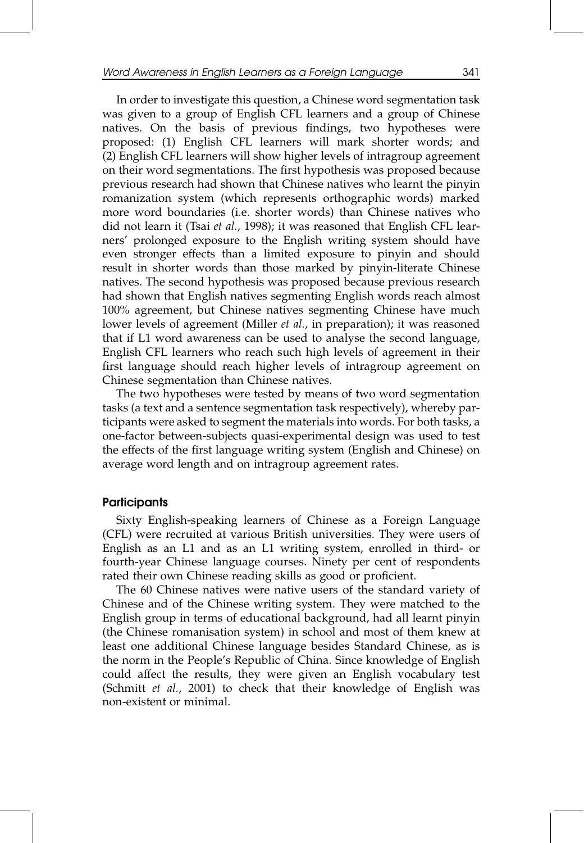In order to investigate this question, a Chinese word segmentation task was given to a group of English CFL learners and a group of Chinese natives. On the basis of previous findings, two hypotheses were proposed: (1) English CFL learners will mark shorter words; and (2) English CFL learners will show higher levels of intragroup agreement on their word segmentations. The first hypothesis was proposed because previous research had shown that Chinese natives who learnt the pinyin romanization system (which represents orthographic words) marked more word boundaries (i.e. shorter words) than Chinese natives who did not learn it (Tsai et al., 1998); it was reasoned that English CFL learners' prolonged exposure to the English writing system should have even stronger effects than a limited exposure to pinyin and should result in shorter words than those marked by pinyin-literate Chinese natives. The second hypothesis was proposed because previous research had shown that English natives segmenting English words reach almost 100% agreement, but Chinese natives segmenting Chinese have much lower levels of agreement (Miller *et al.*, in preparation); it was reasoned that if L1 word awareness can be used to analyse the second language, English CFL learners who reach such high levels of agreement in their first language should reach higher levels of intragroup agreement on Chinese segmentation than Chinese natives.

The two hypotheses were tested by means of two word segmentation tasks (a text and a sentence segmentation task respectively), whereby participants were asked to segment the materials into words. For both tasks, a one-factor between-subjects quasi-experimental design was used to test the effects of the first language writing system (English and Chinese) on average word length and on intragroup agreement rates.

#### Participants

Sixty English-speaking learners of Chinese as a Foreign Language (CFL) were recruited at various British universities. They were users of English as an L1 and as an L1 writing system, enrolled in third- or fourth-year Chinese language courses. Ninety per cent of respondents rated their own Chinese reading skills as good or proficient.

The 60 Chinese natives were native users of the standard variety of Chinese and of the Chinese writing system. They were matched to the English group in terms of educational background, had all learnt pinyin (the Chinese romanisation system) in school and most of them knew at least one additional Chinese language besides Standard Chinese, as is the norm in the People's Republic of China. Since knowledge of English could affect the results, they were given an English vocabulary test (Schmitt et al., 2001) to check that their knowledge of English was non-existent or minimal.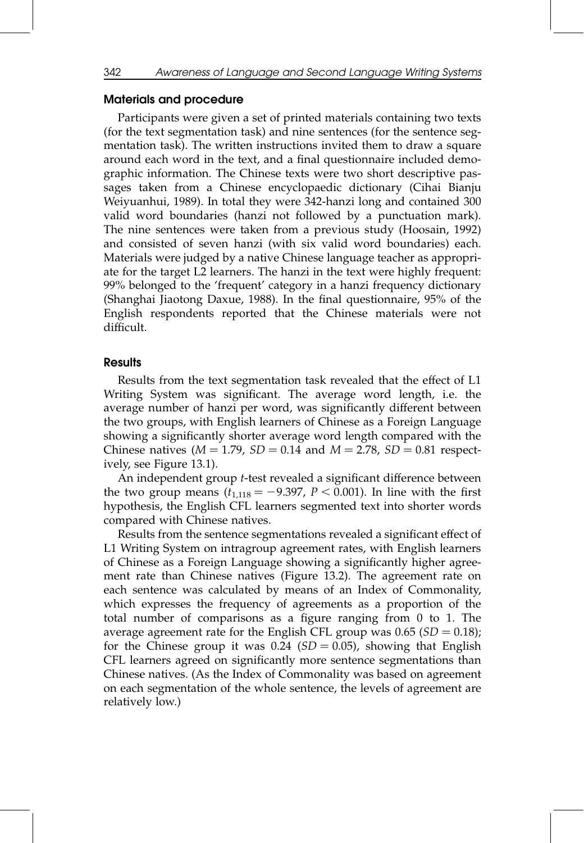#### Materials and procedure

Participants were given a set of printed materials containing two texts (for the text segmentation task) and nine sentences (for the sentence segmentation task). The written instructions invited them to draw a square around each word in the text, and a final questionnaire included demographic information. The Chinese texts were two short descriptive passages taken from a Chinese encyclopaedic dictionary (Cihai Bianju Weiyuanhui, 1989). In total they were 342-hanzi long and contained 300 valid word boundaries (hanzi not followed by a punctuation mark). The nine sentences were taken from a previous study (Hoosain, 1992) and consisted of seven hanzi (with six valid word boundaries) each. Materials were judged by a native Chinese language teacher as appropriate for the target L2 learners. The hanzi in the text were highly frequent: 99% belonged to the 'frequent' category in a hanzi frequency dictionary (Shanghai Jiaotong Daxue, 1988). In the final questionnaire, 95% of the English respondents reported that the Chinese materials were not difficult.

#### **Results**

Results from the text segmentation task revealed that the effect of L1 Writing System was significant. The average word length, i.e. the average number of hanzi per word, was significantly different between the two groups, with English learners of Chinese as a Foreign Language showing a significantly shorter average word length compared with the Chinese natives ( $M = 1.79$ ,  $SD = 0.14$  and  $M = 2.78$ ,  $SD = 0.81$  respectively, see Figure 13.1).

An independent group t-test revealed a significant difference between the two group means  $(t_{1,118} = -9.397, P < 0.001)$ . In line with the first hypothesis, the English CFL learners segmented text into shorter words compared with Chinese natives.

Results from the sentence segmentations revealed a significant effect of L1 Writing System on intragroup agreement rates, with English learners of Chinese as a Foreign Language showing a significantly higher agreement rate than Chinese natives (Figure 13.2). The agreement rate on each sentence was calculated by means of an Index of Commonality, which expresses the frequency of agreements as a proportion of the total number of comparisons as a figure ranging from 0 to 1. The average agreement rate for the English CFL group was 0.65 ( $SD = 0.18$ ); for the Chinese group it was  $0.24$  (*SD* = 0.05), showing that English CFL learners agreed on significantly more sentence segmentations than Chinese natives. (As the Index of Commonality was based on agreement on each segmentation of the whole sentence, the levels of agreement are relatively low.)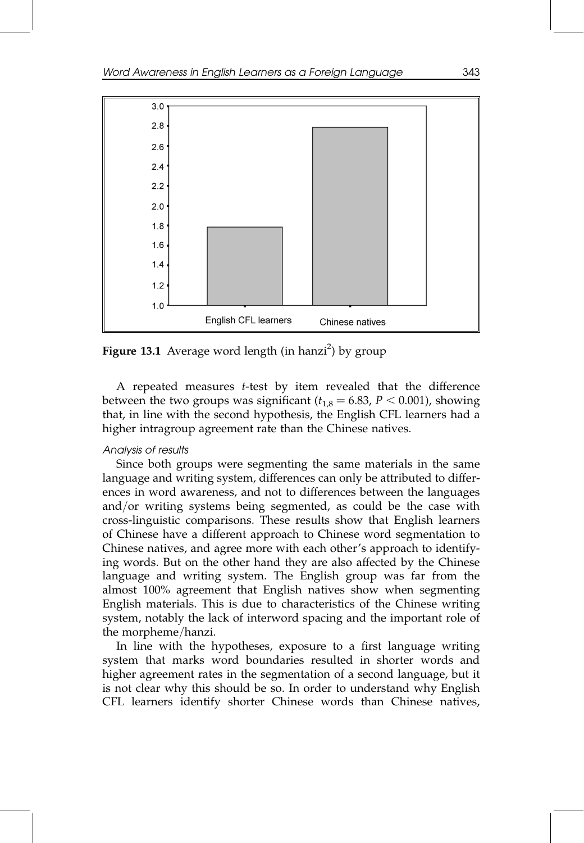

Figure 13.1 Average word length (in hanzi<sup>2</sup>) by group

A repeated measures t-test by item revealed that the difference between the two groups was significant ( $t_{1,8} = 6.83$ ,  $P < 0.001$ ), showing that, in line with the second hypothesis, the English CFL learners had a higher intragroup agreement rate than the Chinese natives.

#### Analysis of results

Since both groups were segmenting the same materials in the same language and writing system, differences can only be attributed to differences in word awareness, and not to differences between the languages and/or writing systems being segmented, as could be the case with cross-linguistic comparisons. These results show that English learners of Chinese have a different approach to Chinese word segmentation to Chinese natives, and agree more with each other's approach to identifying words. But on the other hand they are also affected by the Chinese language and writing system. The English group was far from the almost 100% agreement that English natives show when segmenting English materials. This is due to characteristics of the Chinese writing system, notably the lack of interword spacing and the important role of the morpheme/hanzi.

In line with the hypotheses, exposure to a first language writing system that marks word boundaries resulted in shorter words and higher agreement rates in the segmentation of a second language, but it is not clear why this should be so. In order to understand why English CFL learners identify shorter Chinese words than Chinese natives,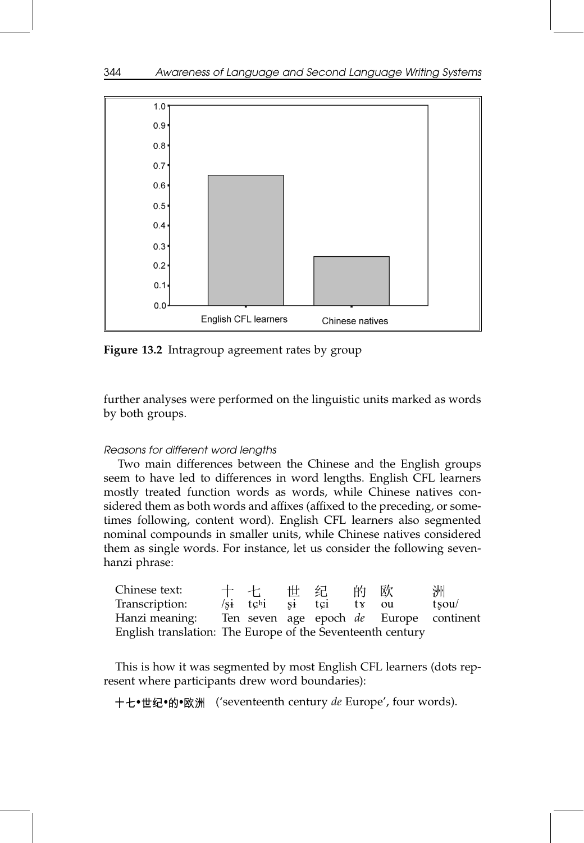

Figure 13.2 Intragroup agreement rates by group

further analyses were performed on the linguistic units marked as words by both groups.

#### Reasons for different word lengths

Two main differences between the Chinese and the English groups seem to have led to differences in word lengths. English CFL learners mostly treated function words as words, while Chinese natives considered them as both words and affixes (affixed to the preceding, or sometimes following, content word). English CFL learners also segmented nominal compounds in smaller units, while Chinese natives considered them as single words. For instance, let us consider the following sevenhanzi phrase:

| Chinese text:                                              | 十七世纪              |  | 的欧    | 洲     |
|------------------------------------------------------------|-------------------|--|-------|-------|
| Transcription:                                             | $/si$ tchi si tci |  | ty ou | tsou/ |
| Hanzi meaning: Ten seven age epoch de Europe continent     |                   |  |       |       |
| English translation: The Europe of the Seventeenth century |                   |  |       |       |

This is how it was segmented by most English CFL learners (dots represent where participants drew word boundaries):

十七·世纪·的·欧洲 ('seventeenth century de Europe', four words).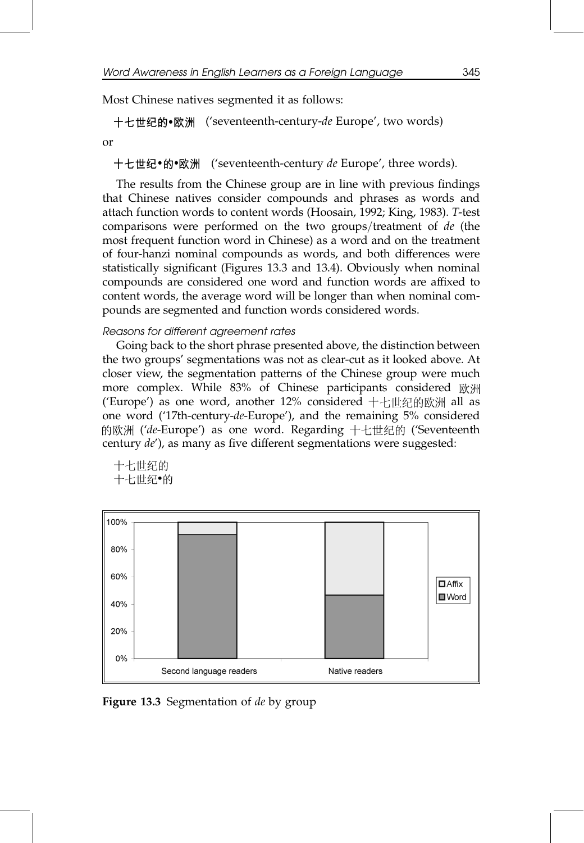Most Chinese natives segmented it as follows:

十七世纪的•欧洲 ('seventeenth-century-de Europe', two words)

or

十七世纪•的•欧洲 ('seventeenth-century de Europe', three words).

The results from the Chinese group are in line with previous findings that Chinese natives consider compounds and phrases as words and attach function words to content words (Hoosain, 1992; King, 1983). T-test comparisons were performed on the two groups/treatment of de (the most frequent function word in Chinese) as a word and on the treatment of four-hanzi nominal compounds as words, and both differences were statistically significant (Figures 13.3 and 13.4). Obviously when nominal compounds are considered one word and function words are affixed to content words, the average word will be longer than when nominal compounds are segmented and function words considered words.

#### Reasons for different agreement rates

Going back to the short phrase presented above, the distinction between the two groups' segmentations was not as clear-cut as it looked above. At closer view, the segmentation patterns of the Chinese group were much more complex. While 83% of Chinese participants considered 欧洲 ('Europe') as one word, another 12% considered 十七世纪的欧洲 all as one word ('17th-century-de-Europe'), and the remaining 5% considered 的欧洲 ('de-Europe') as one word. Regarding  $+ \pm \frac{m}{2}$ 的 ('Seventeenth century de'), as many as five different segmentations were suggested:

十七世纪的 十七世纪•的



Figure 13.3 Segmentation of *de* by group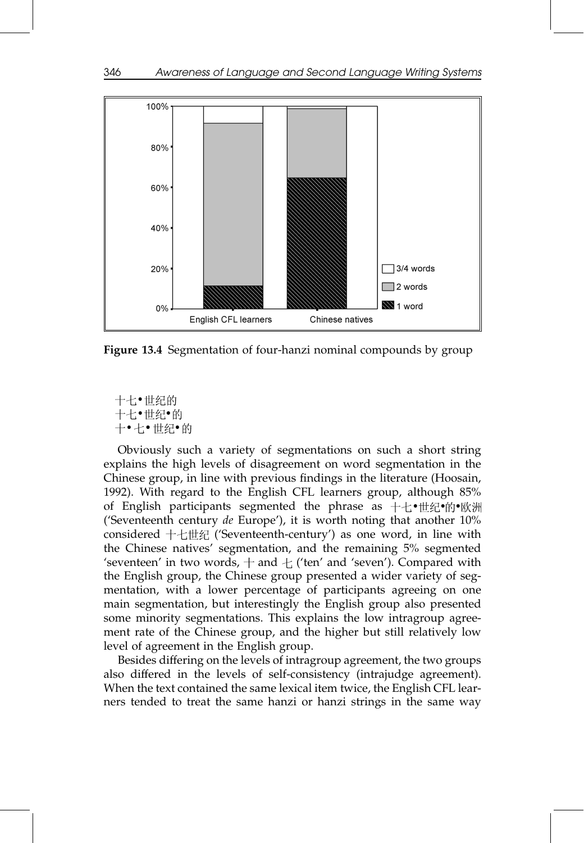

Figure 13.4 Segmentation of four-hanzi nominal compounds by group

十七 世纪的 十七 世纪 的 十•七•世纪•的

Obviously such a variety of segmentations on such a short string explains the high levels of disagreement on word segmentation in the Chinese group, in line with previous findings in the literature (Hoosain, 1992). With regard to the English CFL learners group, although 85% of English participants segmented the phrase as  $+\pm\cdot\text{tr}(\mathcal{L})\text{-}\mathcal{L}(\mathcal{L})\text{-}\mathcal{L}(\mathcal{L})$ ('Seventeenth century de Europe'), it is worth noting that another 10% considered  $+$ 七世纪 ('Seventeenth-century') as one word, in line with the Chinese natives' segmentation, and the remaining 5% segmented 'seventeen' in two words,  $+$  and  $+$  ('ten' and 'seven'). Compared with the English group, the Chinese group presented a wider variety of segmentation, with a lower percentage of participants agreeing on one main segmentation, but interestingly the English group also presented some minority segmentations. This explains the low intragroup agreement rate of the Chinese group, and the higher but still relatively low level of agreement in the English group.

Besides differing on the levels of intragroup agreement, the two groups also differed in the levels of self-consistency (intrajudge agreement). When the text contained the same lexical item twice, the English CFL learners tended to treat the same hanzi or hanzi strings in the same way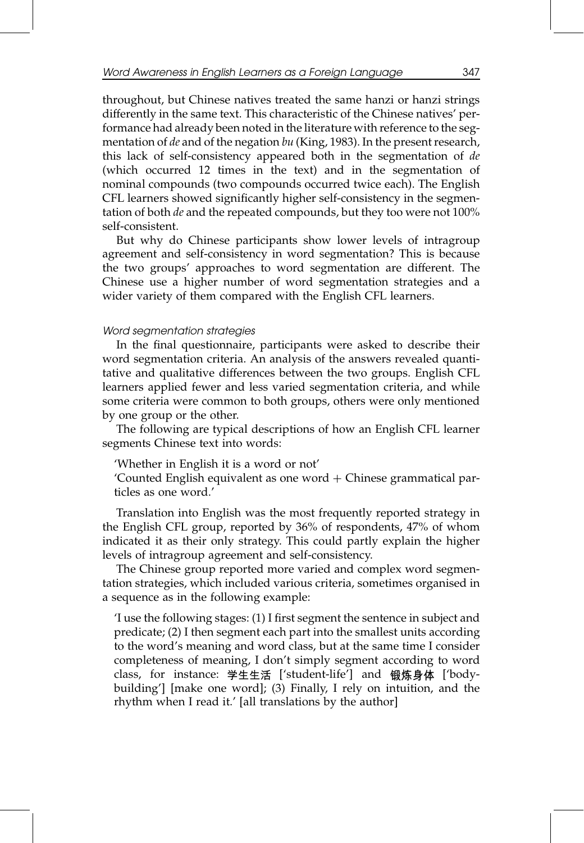throughout, but Chinese natives treated the same hanzi or hanzi strings differently in the same text. This characteristic of the Chinese natives' performance had already been noted in the literature with reference to the segmentation of de and of the negation bu (King, 1983). In the present research, this lack of self-consistency appeared both in the segmentation of de (which occurred 12 times in the text) and in the segmentation of nominal compounds (two compounds occurred twice each). The English CFL learners showed significantly higher self-consistency in the segmentation of both de and the repeated compounds, but they too were not 100% self-consistent.

But why do Chinese participants show lower levels of intragroup agreement and self-consistency in word segmentation? This is because the two groups' approaches to word segmentation are different. The Chinese use a higher number of word segmentation strategies and a wider variety of them compared with the English CFL learners.

#### Word segmentation strategies

In the final questionnaire, participants were asked to describe their word segmentation criteria. An analysis of the answers revealed quantitative and qualitative differences between the two groups. English CFL learners applied fewer and less varied segmentation criteria, and while some criteria were common to both groups, others were only mentioned by one group or the other.

The following are typical descriptions of how an English CFL learner segments Chinese text into words:

'Whether in English it is a word or not'

'Counted English equivalent as one word *þ* Chinese grammatical particles as one word.'

Translation into English was the most frequently reported strategy in the English CFL group, reported by 36% of respondents, 47% of whom indicated it as their only strategy. This could partly explain the higher levels of intragroup agreement and self-consistency.

The Chinese group reported more varied and complex word segmentation strategies, which included various criteria, sometimes organised in a sequence as in the following example:

'I use the following stages: (1) I first segment the sentence in subject and predicate; (2) I then segment each part into the smallest units according to the word's meaning and word class, but at the same time I consider completeness of meaning, I don't simply segment according to word class, for instance: 学生生活 ['student-life'] and 锻炼身体 ['bodybuilding'] [make one word]; (3) Finally, I rely on intuition, and the rhythm when I read it.' [all translations by the author]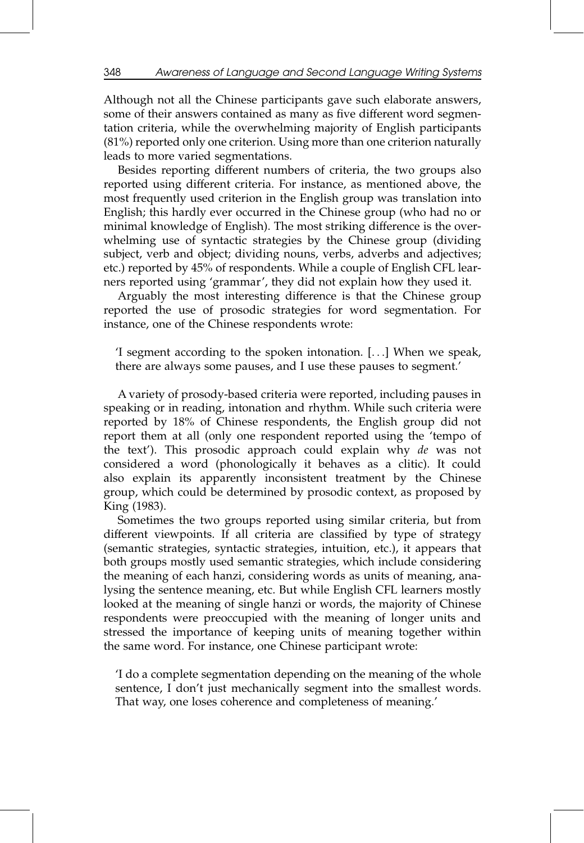Although not all the Chinese participants gave such elaborate answers, some of their answers contained as many as five different word segmentation criteria, while the overwhelming majority of English participants (81%) reported only one criterion. Using more than one criterion naturally leads to more varied segmentations.

Besides reporting different numbers of criteria, the two groups also reported using different criteria. For instance, as mentioned above, the most frequently used criterion in the English group was translation into English; this hardly ever occurred in the Chinese group (who had no or minimal knowledge of English). The most striking difference is the overwhelming use of syntactic strategies by the Chinese group (dividing subject, verb and object; dividing nouns, verbs, adverbs and adjectives; etc.) reported by 45% of respondents. While a couple of English CFL learners reported using 'grammar', they did not explain how they used it.

Arguably the most interesting difference is that the Chinese group reported the use of prosodic strategies for word segmentation. For instance, one of the Chinese respondents wrote:

'I segment according to the spoken intonation. [...] When we speak, there are always some pauses, and I use these pauses to segment.'

A variety of prosody-based criteria were reported, including pauses in speaking or in reading, intonation and rhythm. While such criteria were reported by 18% of Chinese respondents, the English group did not report them at all (only one respondent reported using the 'tempo of the text'). This prosodic approach could explain why de was not considered a word (phonologically it behaves as a clitic). It could also explain its apparently inconsistent treatment by the Chinese group, which could be determined by prosodic context, as proposed by King (1983).

Sometimes the two groups reported using similar criteria, but from different viewpoints. If all criteria are classified by type of strategy (semantic strategies, syntactic strategies, intuition, etc.), it appears that both groups mostly used semantic strategies, which include considering the meaning of each hanzi, considering words as units of meaning, analysing the sentence meaning, etc. But while English CFL learners mostly looked at the meaning of single hanzi or words, the majority of Chinese respondents were preoccupied with the meaning of longer units and stressed the importance of keeping units of meaning together within the same word. For instance, one Chinese participant wrote:

'I do a complete segmentation depending on the meaning of the whole sentence, I don't just mechanically segment into the smallest words. That way, one loses coherence and completeness of meaning.'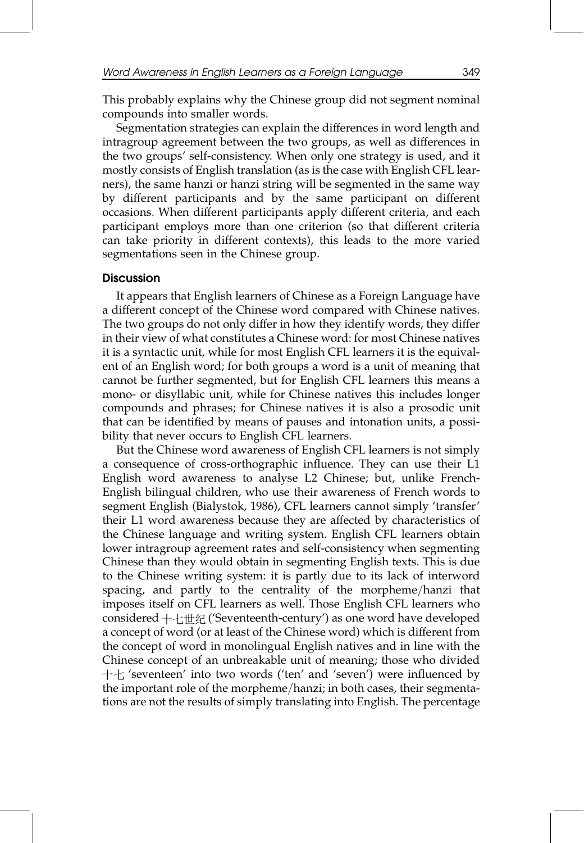This probably explains why the Chinese group did not segment nominal compounds into smaller words.

Segmentation strategies can explain the differences in word length and intragroup agreement between the two groups, as well as differences in the two groups' self-consistency. When only one strategy is used, and it mostly consists of English translation (as is the case with English CFL learners), the same hanzi or hanzi string will be segmented in the same way by different participants and by the same participant on different occasions. When different participants apply different criteria, and each participant employs more than one criterion (so that different criteria can take priority in different contexts), this leads to the more varied segmentations seen in the Chinese group.

#### **Discussion**

It appears that English learners of Chinese as a Foreign Language have a different concept of the Chinese word compared with Chinese natives. The two groups do not only differ in how they identify words, they differ in their view of what constitutes a Chinese word: for most Chinese natives it is a syntactic unit, while for most English CFL learners it is the equivalent of an English word; for both groups a word is a unit of meaning that cannot be further segmented, but for English CFL learners this means a mono- or disyllabic unit, while for Chinese natives this includes longer compounds and phrases; for Chinese natives it is also a prosodic unit that can be identified by means of pauses and intonation units, a possibility that never occurs to English CFL learners.

But the Chinese word awareness of English CFL learners is not simply a consequence of cross-orthographic influence. They can use their L1 English word awareness to analyse L2 Chinese; but, unlike French-English bilingual children, who use their awareness of French words to segment English (Bialystok, 1986), CFL learners cannot simply 'transfer' their L1 word awareness because they are affected by characteristics of the Chinese language and writing system. English CFL learners obtain lower intragroup agreement rates and self-consistency when segmenting Chinese than they would obtain in segmenting English texts. This is due to the Chinese writing system: it is partly due to its lack of interword spacing, and partly to the centrality of the morpheme/hanzi that imposes itself on CFL learners as well. Those English CFL learners who considered  $+$   $\pm$   $\frac{11}{2}$  ('Seventeenth-century') as one word have developed a concept of word (or at least of the Chinese word) which is different from the concept of word in monolingual English natives and in line with the Chinese concept of an unbreakable unit of meaning; those who divided  $+$  'seventeen' into two words ('ten' and 'seven') were influenced by the important role of the morpheme/hanzi; in both cases, their segmentations are not the results of simply translating into English. The percentage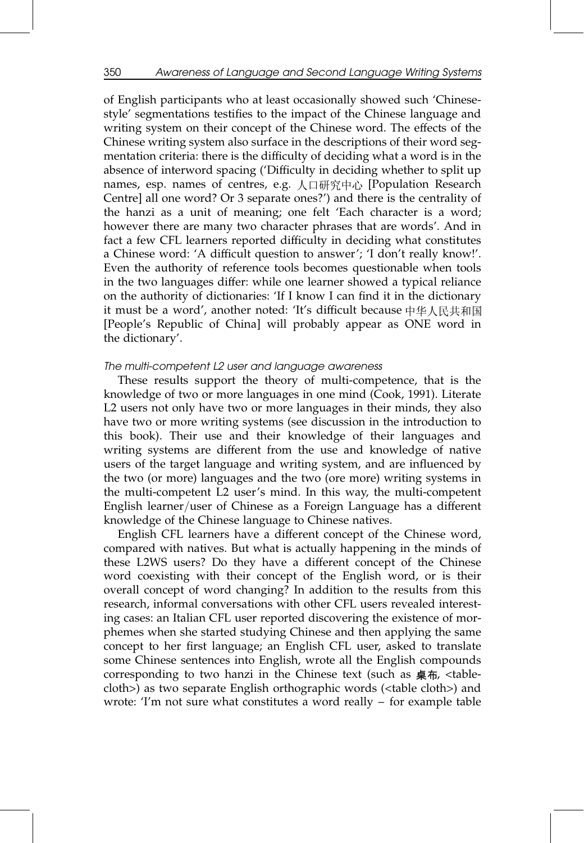of English participants who at least occasionally showed such 'Chinesestyle' segmentations testifies to the impact of the Chinese language and writing system on their concept of the Chinese word. The effects of the Chinese writing system also surface in the descriptions of their word segmentation criteria: there is the difficulty of deciding what a word is in the absence of interword spacing ('Difficulty in deciding whether to split up names, esp. names of centres, e.g. 人口研究中心 [Population Research Centre] all one word? Or 3 separate ones?') and there is the centrality of the hanzi as a unit of meaning; one felt 'Each character is a word; however there are many two character phrases that are words'. And in fact a few CFL learners reported difficulty in deciding what constitutes a Chinese word: 'A difficult question to answer'; 'I don't really know!'. Even the authority of reference tools becomes questionable when tools in the two languages differ: while one learner showed a typical reliance on the authority of dictionaries: 'If I know I can find it in the dictionary it must be a word', another noted: 'It's difficult because 中华人民共和国 [People's Republic of China] will probably appear as ONE word in the dictionary'.

#### The multi-competent L2 user and language awareness

These results support the theory of multi-competence, that is the knowledge of two or more languages in one mind (Cook, 1991). Literate L2 users not only have two or more languages in their minds, they also have two or more writing systems (see discussion in the introduction to this book). Their use and their knowledge of their languages and writing systems are different from the use and knowledge of native users of the target language and writing system, and are influenced by the two (or more) languages and the two (ore more) writing systems in the multi-competent L2 user's mind. In this way, the multi-competent English learner/user of Chinese as a Foreign Language has a different knowledge of the Chinese language to Chinese natives.

English CFL learners have a different concept of the Chinese word, compared with natives. But what is actually happening in the minds of these L2WS users? Do they have a different concept of the Chinese word coexisting with their concept of the English word, or is their overall concept of word changing? In addition to the results from this research, informal conversations with other CFL users revealed interesting cases: an Italian CFL user reported discovering the existence of morphemes when she started studying Chinese and then applying the same concept to her first language; an English CFL user, asked to translate some Chinese sentences into English, wrote all the English compounds corresponding to two hanzi in the Chinese text (such as  $\frac{1}{2}$   $\pi$ , <tablecloth>) as two separate English orthographic words (<table cloth>) and wrote: 'I'm not sure what constitutes a word really – for example table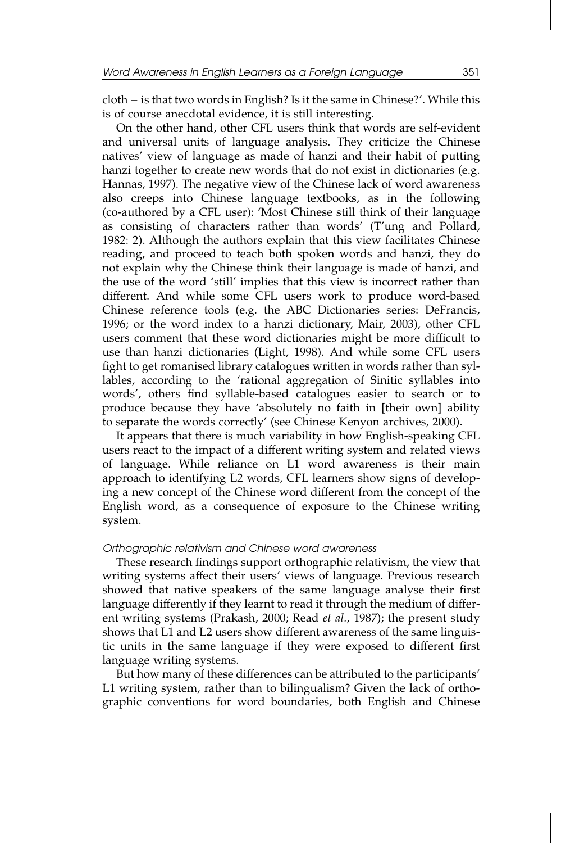cloth – is that two words in English? Is it the same in Chinese?'. While this is of course anecdotal evidence, it is still interesting.

On the other hand, other CFL users think that words are self-evident and universal units of language analysis. They criticize the Chinese natives' view of language as made of hanzi and their habit of putting hanzi together to create new words that do not exist in dictionaries (e.g. Hannas, 1997). The negative view of the Chinese lack of word awareness also creeps into Chinese language textbooks, as in the following (co-authored by a CFL user): 'Most Chinese still think of their language as consisting of characters rather than words' (T'ung and Pollard, 1982: 2). Although the authors explain that this view facilitates Chinese reading, and proceed to teach both spoken words and hanzi, they do not explain why the Chinese think their language is made of hanzi, and the use of the word 'still' implies that this view is incorrect rather than different. And while some CFL users work to produce word-based Chinese reference tools (e.g. the ABC Dictionaries series: DeFrancis, 1996; or the word index to a hanzi dictionary, Mair, 2003), other CFL users comment that these word dictionaries might be more difficult to use than hanzi dictionaries (Light, 1998). And while some CFL users fight to get romanised library catalogues written in words rather than syllables, according to the 'rational aggregation of Sinitic syllables into words', others find syllable-based catalogues easier to search or to produce because they have 'absolutely no faith in [their own] ability to separate the words correctly' (see Chinese Kenyon archives, 2000).

It appears that there is much variability in how English-speaking CFL users react to the impact of a different writing system and related views of language. While reliance on L1 word awareness is their main approach to identifying L2 words, CFL learners show signs of developing a new concept of the Chinese word different from the concept of the English word, as a consequence of exposure to the Chinese writing system.

#### Orthographic relativism and Chinese word awareness

These research findings support orthographic relativism, the view that writing systems affect their users' views of language. Previous research showed that native speakers of the same language analyse their first language differently if they learnt to read it through the medium of different writing systems (Prakash, 2000; Read *et al.*, 1987); the present study shows that L1 and L2 users show different awareness of the same linguistic units in the same language if they were exposed to different first language writing systems.

But how many of these differences can be attributed to the participants' L1 writing system, rather than to bilingualism? Given the lack of orthographic conventions for word boundaries, both English and Chinese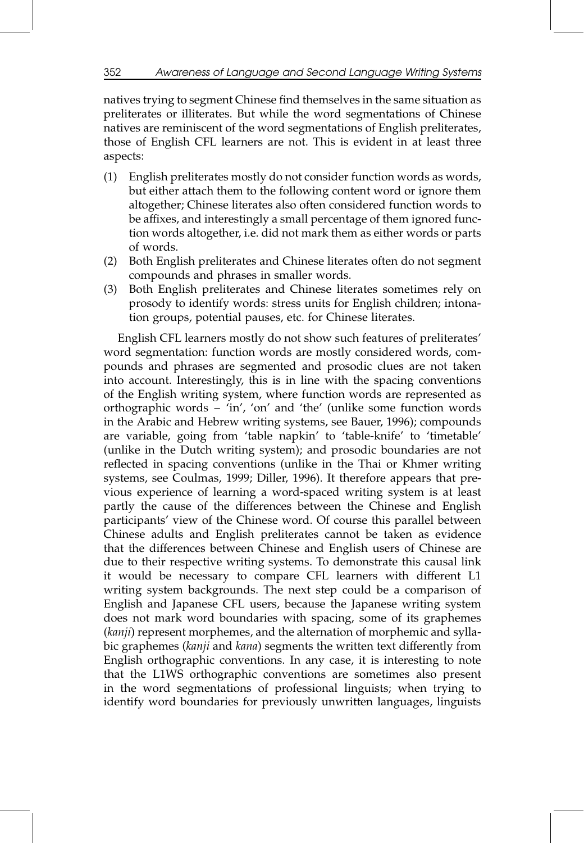#### 352 Awareness of Language and Second Language Writing Systems

natives trying to segment Chinese find themselves in the same situation as preliterates or illiterates. But while the word segmentations of Chinese natives are reminiscent of the word segmentations of English preliterates, those of English CFL learners are not. This is evident in at least three aspects:

- (1) English preliterates mostly do not consider function words as words, but either attach them to the following content word or ignore them altogether; Chinese literates also often considered function words to be affixes, and interestingly a small percentage of them ignored function words altogether, i.e. did not mark them as either words or parts of words.
- (2) Both English preliterates and Chinese literates often do not segment compounds and phrases in smaller words.
- (3) Both English preliterates and Chinese literates sometimes rely on prosody to identify words: stress units for English children; intonation groups, potential pauses, etc. for Chinese literates.

English CFL learners mostly do not show such features of preliterates' word segmentation: function words are mostly considered words, compounds and phrases are segmented and prosodic clues are not taken into account. Interestingly, this is in line with the spacing conventions of the English writing system, where function words are represented as orthographic words – 'in', 'on' and 'the' (unlike some function words in the Arabic and Hebrew writing systems, see Bauer, 1996); compounds are variable, going from 'table napkin' to 'table-knife' to 'timetable' (unlike in the Dutch writing system); and prosodic boundaries are not reflected in spacing conventions (unlike in the Thai or Khmer writing systems, see Coulmas, 1999; Diller, 1996). It therefore appears that previous experience of learning a word-spaced writing system is at least partly the cause of the differences between the Chinese and English participants' view of the Chinese word. Of course this parallel between Chinese adults and English preliterates cannot be taken as evidence that the differences between Chinese and English users of Chinese are due to their respective writing systems. To demonstrate this causal link it would be necessary to compare CFL learners with different L1 writing system backgrounds. The next step could be a comparison of English and Japanese CFL users, because the Japanese writing system does not mark word boundaries with spacing, some of its graphemes (kanji) represent morphemes, and the alternation of morphemic and syllabic graphemes (kanji and kana) segments the written text differently from English orthographic conventions. In any case, it is interesting to note that the L1WS orthographic conventions are sometimes also present in the word segmentations of professional linguists; when trying to identify word boundaries for previously unwritten languages, linguists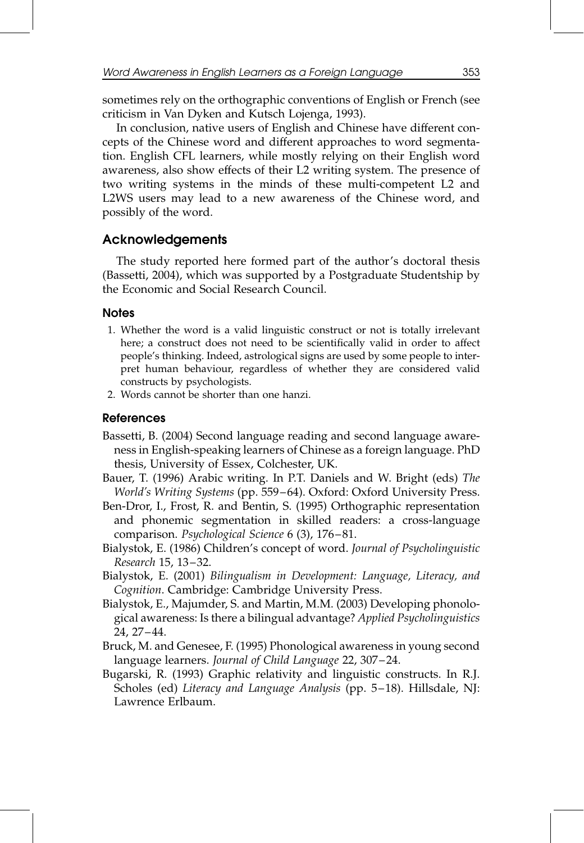sometimes rely on the orthographic conventions of English or French (see criticism in Van Dyken and Kutsch Lojenga, 1993).

In conclusion, native users of English and Chinese have different concepts of the Chinese word and different approaches to word segmentation. English CFL learners, while mostly relying on their English word awareness, also show effects of their L2 writing system. The presence of two writing systems in the minds of these multi-competent L2 and L2WS users may lead to a new awareness of the Chinese word, and possibly of the word.

#### Acknowledgements

The study reported here formed part of the author's doctoral thesis (Bassetti, 2004), which was supported by a Postgraduate Studentship by the Economic and Social Research Council.

#### **Notes**

- 1. Whether the word is a valid linguistic construct or not is totally irrelevant here; a construct does not need to be scientifically valid in order to affect people's thinking. Indeed, astrological signs are used by some people to interpret human behaviour, regardless of whether they are considered valid constructs by psychologists.
- 2. Words cannot be shorter than one hanzi.

#### References

- Bassetti, B. (2004) Second language reading and second language awareness in English-speaking learners of Chinese as a foreign language. PhD thesis, University of Essex, Colchester, UK.
- Bauer, T. (1996) Arabic writing. In P.T. Daniels and W. Bright (eds) The World's Writing Systems (pp. 559–64). Oxford: Oxford University Press.
- Ben-Dror, I., Frost, R. and Bentin, S. (1995) Orthographic representation and phonemic segmentation in skilled readers: a cross-language comparison. Psychological Science 6 (3), 176 – 81.
- Bialystok, E. (1986) Children's concept of word. Journal of Psycholinguistic Research 15, 13 –32.
- Bialystok, E. (2001) Bilingualism in Development: Language, Literacy, and Cognition. Cambridge: Cambridge University Press.
- Bialystok, E., Majumder, S. and Martin, M.M. (2003) Developing phonological awareness: Is there a bilingual advantage? Applied Psycholinguistics 24, 27 –44.
- Bruck, M. and Genesee, F. (1995) Phonological awareness in young second language learners. Journal of Child Language 22, 307-24.
- Bugarski, R. (1993) Graphic relativity and linguistic constructs. In R.J. Scholes (ed) Literacy and Language Analysis (pp. 5–18). Hillsdale, NJ: Lawrence Erlbaum.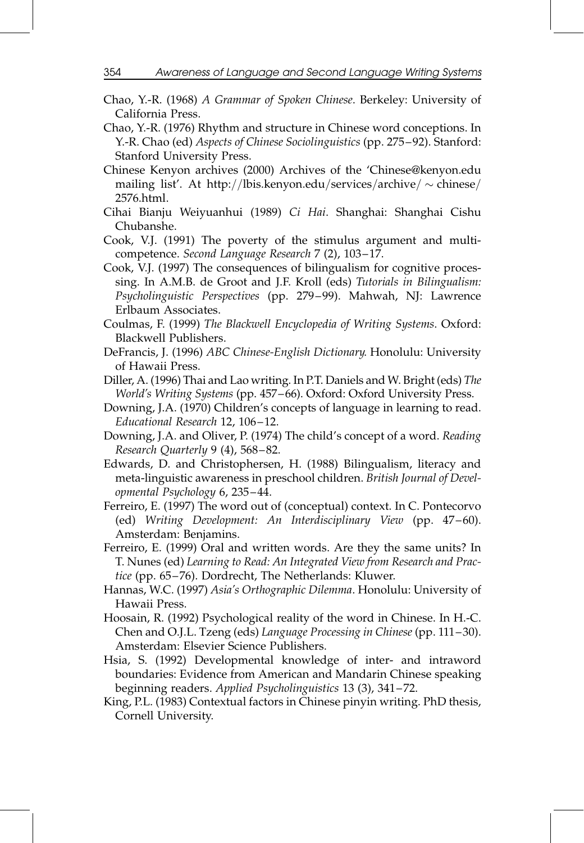- Chao, Y.-R. (1968) A Grammar of Spoken Chinese. Berkeley: University of California Press.
- Chao, Y.-R. (1976) Rhythm and structure in Chinese word conceptions. In Y.-R. Chao (ed) Aspects of Chinese Sociolinguistics (pp. 275 – 92). Stanford: Stanford University Press.
- Chinese Kenyon archives (2000) Archives of the 'Chinese@kenyon.edu mailing list'. At http://lbis.kenyon.edu/services/archive/ $\sim$ chinese/ 2576.html.
- Cihai Bianju Weiyuanhui (1989) Ci Hai. Shanghai: Shanghai Cishu Chubanshe.
- Cook, V.J. (1991) The poverty of the stimulus argument and multicompetence. Second Language Research 7 (2), 103-17.
- Cook, V.J. (1997) The consequences of bilingualism for cognitive processing. In A.M.B. de Groot and J.F. Kroll (eds) Tutorials in Bilingualism: Psycholinguistic Perspectives (pp. 279–99). Mahwah, NJ: Lawrence Erlbaum Associates.
- Coulmas, F. (1999) The Blackwell Encyclopedia of Writing Systems. Oxford: Blackwell Publishers.
- DeFrancis, J. (1996) ABC Chinese-English Dictionary. Honolulu: University of Hawaii Press.
- Diller, A. (1996) Thai and Lao writing. In P.T. Daniels and W. Bright (eds) The World's Writing Systems (pp. 457–66). Oxford: Oxford University Press.
- Downing, J.A. (1970) Children's concepts of language in learning to read. Educational Research 12, 106–12.
- Downing, J.A. and Oliver, P. (1974) The child's concept of a word. Reading Research Quarterly 9 (4), 568–82.
- Edwards, D. and Christophersen, H. (1988) Bilingualism, literacy and meta-linguistic awareness in preschool children. British Journal of Developmental Psychology 6, 235 – 44.
- Ferreiro, E. (1997) The word out of (conceptual) context. In C. Pontecorvo (ed) Writing Development: An Interdisciplinary View (pp. 47–60). Amsterdam: Benjamins.
- Ferreiro, E. (1999) Oral and written words. Are they the same units? In T. Nunes (ed) Learning to Read: An Integrated View from Research and Practice (pp. 65 –76). Dordrecht, The Netherlands: Kluwer.
- Hannas, W.C. (1997) Asia's Orthographic Dilemma. Honolulu: University of Hawaii Press.
- Hoosain, R. (1992) Psychological reality of the word in Chinese. In H.-C. Chen and O.J.L. Tzeng (eds) Language Processing in Chinese (pp. 111– 30). Amsterdam: Elsevier Science Publishers.
- Hsia, S. (1992) Developmental knowledge of inter- and intraword boundaries: Evidence from American and Mandarin Chinese speaking beginning readers. Applied Psycholinguistics 13 (3), 341-72.
- King, P.L. (1983) Contextual factors in Chinese pinyin writing. PhD thesis, Cornell University.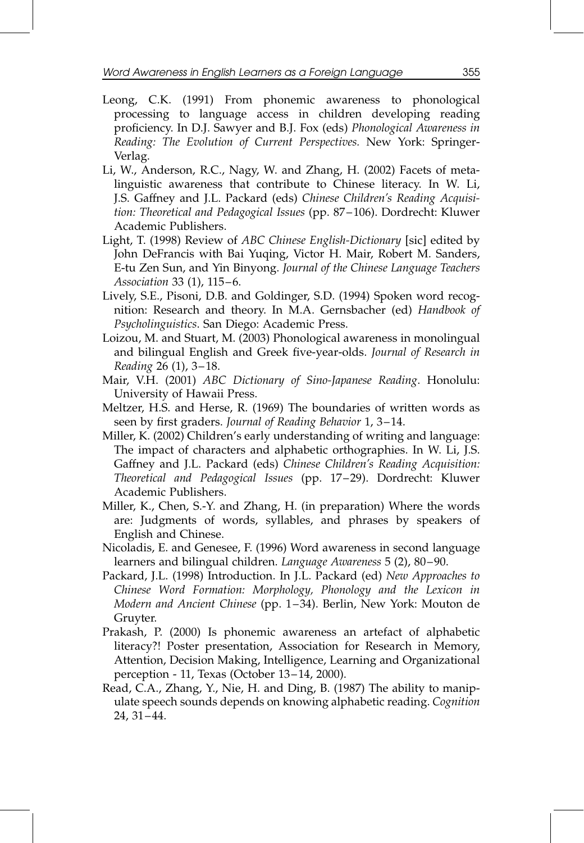- Leong, C.K. (1991) From phonemic awareness to phonological processing to language access in children developing reading proficiency. In D.J. Sawyer and B.J. Fox (eds) Phonological Awareness in Reading: The Evolution of Current Perspectives. New York: Springer-Verlag.
- Li, W., Anderson, R.C., Nagy, W. and Zhang, H. (2002) Facets of metalinguistic awareness that contribute to Chinese literacy. In W. Li, J.S. Gaffney and J.L. Packard (eds) Chinese Children's Reading Acquisition: Theoretical and Pedagogical Issues (pp. 87 – 106). Dordrecht: Kluwer Academic Publishers.
- Light, T. (1998) Review of ABC Chinese English-Dictionary [sic] edited by John DeFrancis with Bai Yuqing, Victor H. Mair, Robert M. Sanders, E-tu Zen Sun, and Yin Binyong. Journal of the Chinese Language Teachers Association 33 (1), 115-6.
- Lively, S.E., Pisoni, D.B. and Goldinger, S.D. (1994) Spoken word recognition: Research and theory. In M.A. Gernsbacher (ed) Handbook of Psycholinguistics. San Diego: Academic Press.
- Loizou, M. and Stuart, M. (2003) Phonological awareness in monolingual and bilingual English and Greek five-year-olds. Journal of Research in Reading 26 (1), 3-18.
- Mair, V.H. (2001) ABC Dictionary of Sino-Japanese Reading. Honolulu: University of Hawaii Press.
- Meltzer, H.S. and Herse, R. (1969) The boundaries of written words as seen by first graders. Journal of Reading Behavior 1, 3-14.
- Miller, K. (2002) Children's early understanding of writing and language: The impact of characters and alphabetic orthographies. In W. Li, J.S. Gaffney and J.L. Packard (eds) Chinese Children's Reading Acquisition: Theoretical and Pedagogical Issues (pp. 17 –29). Dordrecht: Kluwer Academic Publishers.
- Miller, K., Chen, S.-Y. and Zhang, H. (in preparation) Where the words are: Judgments of words, syllables, and phrases by speakers of English and Chinese.
- Nicoladis, E. and Genesee, F. (1996) Word awareness in second language learners and bilingual children. Language Awareness 5 (2), 80-90.
- Packard, J.L. (1998) Introduction. In J.L. Packard (ed) New Approaches to Chinese Word Formation: Morphology, Phonology and the Lexicon in Modern and Ancient Chinese (pp. 1 –34). Berlin, New York: Mouton de Gruyter.
- Prakash, P. (2000) Is phonemic awareness an artefact of alphabetic literacy?! Poster presentation, Association for Research in Memory, Attention, Decision Making, Intelligence, Learning and Organizational perception - 11, Texas (October 13 – 14, 2000).
- Read, C.A., Zhang, Y., Nie, H. and Ding, B. (1987) The ability to manipulate speech sounds depends on knowing alphabetic reading. Cognition  $24, 31 - 44.$